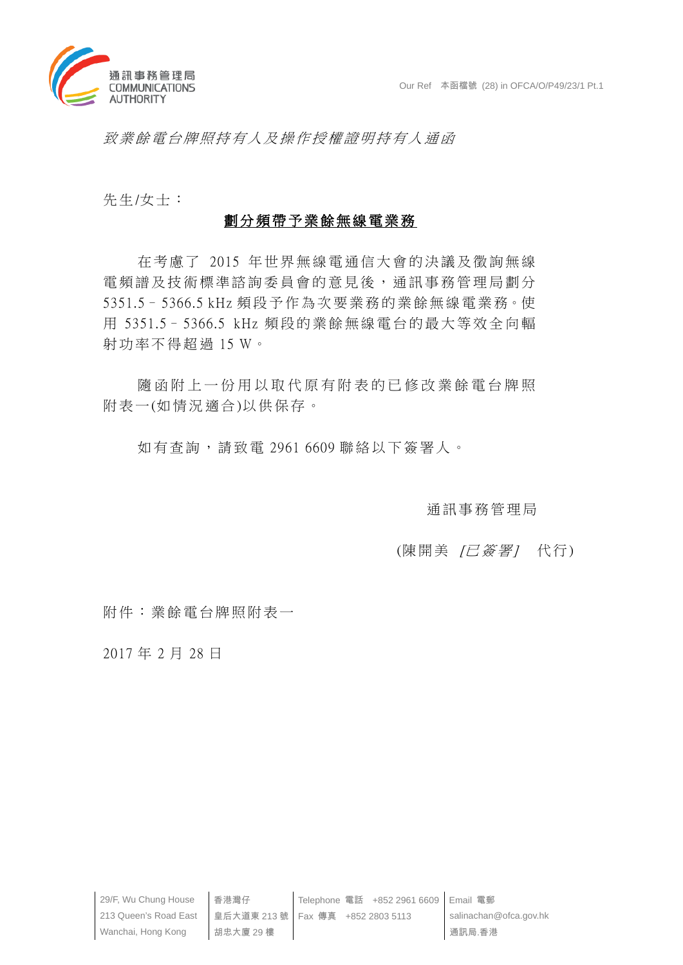

致業餘電台牌照持有人及操作授權證明持有人通函

先生/女士:

# 劃分頻帶予業餘無線電業務

在考慮了 2015 年世界無線電通信大會的決議及徵詢無線 電頻譜及技術標準諮詢委員會的意見後,通訊事務管理局劃分 5351.5– 5366.5 kHz 頻 段予作為 次要業務 的業餘無 線電業務。使 用 5351.5– 5366.5 kHz 頻段的業餘無線電台的最大等效全向輻 射功率不得超過 15 W。

隨函附上一份用以取代原有附表的已修改業餘電台牌照 附表一(如情況適合)以供保存。

如有查詢,請致電 2961 6609 聯 絡以下簽署人。

通訊事務管理局

# (陳開美 / 已 簽 署 / 代 行)

附件:業餘電台牌照附表一

2017 年 2 月 28 日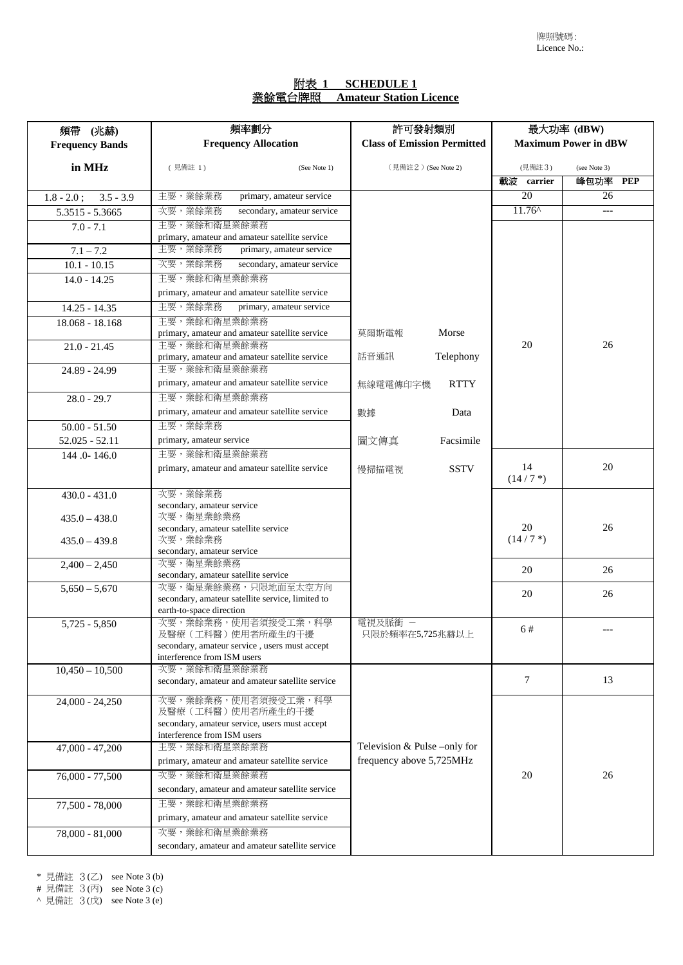# 附表 **1 SCHEDULE 1** 業餘電台牌照 **Amateur Station Licence**

| 頻帶 (兆赫)                      | 頻率劃分                                                               | 許可發射類別                             | 最大功率 (dBW)                  |              |
|------------------------------|--------------------------------------------------------------------|------------------------------------|-----------------------------|--------------|
| <b>Frequency Bands</b>       | <b>Frequency Allocation</b>                                        | <b>Class of Emission Permitted</b> | <b>Maximum Power in dBW</b> |              |
| in MHz                       | (見備註 1)<br>(See Note 1)                                            | (見備註2) (See Note 2)                | (見備註3)                      | (see Note 3) |
|                              |                                                                    |                                    | 載波 carrier                  | 峰包功率 PEP     |
| $1.8 - 2.0$ ;<br>$3.5 - 3.9$ | 主要,業餘業務<br>primary, amateur service                                |                                    | 20                          | 26           |
| 5.3515 - 5.3665              | secondary, amateur service<br>次要,業餘業務                              |                                    | $11.76^{\circ}$             | $---$        |
| $7.0 - 7.1$                  | 主要,業餘和衛星業餘業務                                                       |                                    |                             |              |
|                              | primary, amateur and amateur satellite service                     |                                    |                             |              |
| $7.1 - 7.2$                  | 主要,業餘業務<br>primary, amateur service                                |                                    |                             |              |
| $10.1 - 10.15$               | 次要,業餘業務<br>secondary, amateur service                              |                                    |                             |              |
| $14.0 - 14.25$               | 主要,業餘和衛星業餘業務                                                       |                                    |                             |              |
|                              | primary, amateur and amateur satellite service                     |                                    |                             |              |
| 14.25 - 14.35                | 主要,業餘業務<br>primary, amateur service                                |                                    |                             |              |
| 18.068 - 18.168              | 主要,業餘和衛星業餘業務<br>primary, amateur and amateur satellite service     | Morse<br>莫爾斯電報                     |                             |              |
| $21.0 - 21.45$               | 主要,業餘和衛星業餘業務                                                       |                                    | 20                          | 26           |
|                              | primary, amateur and amateur satellite service                     | Telephony<br>話音通訊                  |                             |              |
| 24.89 - 24.99                | 主要,業餘和衛星業餘業務                                                       |                                    |                             |              |
|                              | primary, amateur and amateur satellite service                     | <b>RTTY</b><br>無線電電傳印字機            |                             |              |
| $28.0 - 29.7$                | 主要,業餘和衛星業餘業務                                                       |                                    |                             |              |
|                              | primary, amateur and amateur satellite service                     | Data<br>數據                         |                             |              |
| $50.00 - 51.50$              | 主要,業餘業務                                                            |                                    |                             |              |
| $52.025 - 52.11$             | primary, amateur service                                           | 圖文傳真<br>Facsimile                  |                             |              |
| 144 .0-146.0                 | 主要,業餘和衛星業餘業務                                                       |                                    |                             |              |
|                              | primary, amateur and amateur satellite service                     | <b>SSTV</b><br>慢掃描電視               | 14<br>$(14/7*)$             | 20           |
|                              | 次要,業餘業務                                                            |                                    |                             |              |
| $430.0 - 431.0$              | secondary, amateur service                                         |                                    |                             |              |
| $435.0 - 438.0$              | 次要,衛星業餘業務                                                          |                                    |                             |              |
|                              | secondary, amateur satellite service                               |                                    | 20                          | 26           |
| $435.0 - 439.8$              | 次要,業餘業務<br>secondary, amateur service                              |                                    | $(14/7*)$                   |              |
| $2,400 - 2,450$              | 次要,衛星業餘業務                                                          |                                    |                             |              |
|                              | secondary, amateur satellite service                               |                                    | 20                          | 26           |
| $5,650 - 5,670$              | 次要,衛星業餘業務,只限地面至太空方向                                                |                                    | 20                          | 26           |
|                              | secondary, amateur satellite service, limited to                   |                                    |                             |              |
| $5,725 - 5,850$              | earth-to-space direction<br>次要,業餘業務,使用者須接受工業,科學                    | 電視及脈衝 -                            |                             |              |
|                              | 及醫療(工科醫)使用者所產生的干擾                                                  | 只限於頻率在5,725兆赫以上                    | 6#                          |              |
|                              | secondary, amateur service, users must accept                      |                                    |                             |              |
|                              | interference from ISM users                                        |                                    |                             |              |
| $10,450 - 10,500$            | 次要,業餘和衛星業餘業務<br>secondary, amateur and amateur satellite service   |                                    | 7                           | 13           |
|                              |                                                                    |                                    |                             |              |
| $24,000 - 24,250$            | 次要,業餘業務,使用者須接受工業,科學                                                |                                    |                             |              |
|                              | 及醫療(工科醫)使用者所產生的干擾<br>secondary, amateur service, users must accept |                                    |                             |              |
|                              | interference from ISM users                                        |                                    |                             |              |
| $47,000 - 47,200$            | 主要,業餘和衛星業餘業務                                                       | Television & Pulse -only for       |                             |              |
|                              | primary, amateur and amateur satellite service                     | frequency above 5,725MHz           |                             |              |
| 76,000 - 77,500              | 次要,業餘和衛星業餘業務                                                       |                                    | 20                          | 26           |
|                              | secondary, amateur and amateur satellite service                   |                                    |                             |              |
| 77,500 - 78,000              | 主要,業餘和衛星業餘業務                                                       |                                    |                             |              |
|                              | primary, amateur and amateur satellite service                     |                                    |                             |              |
| 78,000 - 81,000              | 次要,業餘和衛星業餘業務                                                       |                                    |                             |              |
|                              | secondary, amateur and amateur satellite service                   |                                    |                             |              |

 $*$  見備註  $3(Z)$  see Note  $3(b)$ 

# 見備註 3(丙) see Note 3 (c)

^ 見備註 3(戊) see Note 3 (e)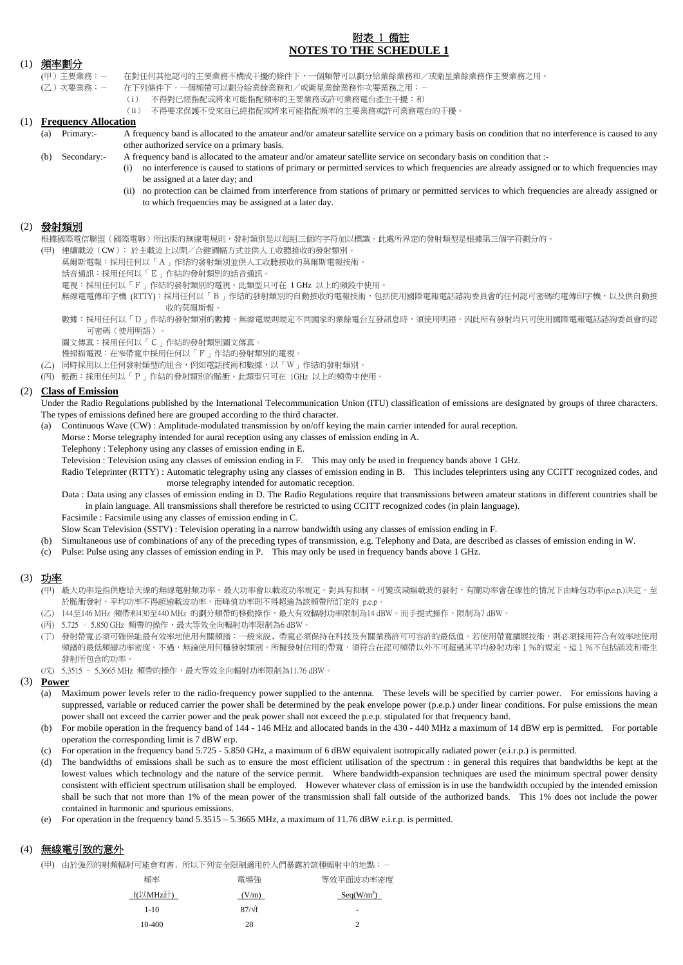# 附表 1 備註 **NOTES TO THE SCHEDULE 1**

### (1) 頻率劃分

(甲)主要業務︰- 在對任何其他認可的主要業務不構成干擾的條件下,一個頻帶可以劃分給業餘業務和/或衛星業餘業務作主要業務之用。

- (乙)次要業務︰- 在下列條件下,一個頻帶可以劃分給業餘業務和/或衛星業餘業務作次要業務之用︰-
	- (i) 不得對已經指配或將來可能指配頻率的主要業務或許可業務電台產生干擾;和 (ii) 不得要求保護不受來自已經指配或將來可能指配頻率的主要業務或許可業務電台的干擾。
- **Frequency Allocation** 
	- (a) Primary:- A frequency band is allocated to the amateur and/or amateur satellite service on a primary basis on condition that no interference is caused to any other authorized service on a primary basis.
	- (b) Secondary:- A frequency band is allocated to the amateur and/or amateur satellite service on secondary basis on condition that :-
		- (i) no interference is caused to stations of primary or permitted services to which frequencies are already assigned or to which frequencies may be assigned at a later day; and
			- (ii) no protection can be claimed from interference from stations of primary or permitted services to which frequencies are already assigned or to which frequencies may be assigned at a later day.

### (2) 發射類別

根據國際電信聯盟(國際電聯)所出版的無線電規則,發射類別是以每組三個的字符加以標識。此處所界定的發射類型是根據第三個字符劃分的。

- (甲) 連續載波(CW)﹕於主載波上以開/合鍵調幅方式並供人工收聽接收的發射類別。
	- 莫爾斯電報︰採用任何以「A」作結的發射類別並供人工收聽接收的莫爾斯電報技術。
	- 話音通訊︰採用任何以「E」作結的發射類別的話音通訊。
	- 電視︰採用任何以「F」作結的發射類別的電視。此類型只可在 1 GHz 以上的頻段中使用。
	- 無線電電傳印字機 (RTTY):採用任何以「B」作結的發射類別的自動接收的電報技術,包括使用國際電報電話諮詢委員會的任何認可密碼的電傳印字機,以及供自動接 收的莫爾斯報。
	- 數據︰採用任何以「D」作結的發射類別的數據。無線電規則規定不同國家的業餘電台互發訊息時,須使用明語。因此所有發射均只可使用國際電報電話諮詢委員會的認 可密碼(使用明語)。
	- 圖文傳真︰採用任何以「C」作結的發射類別圖文傳真。
	- 慢掃描電視︰在窄帶寬中採用任何以「F」作結的發射類別的電視。
- (乙) 同時採用以上任何發射類型的組合,例如電話技術和數據,以「W」作結的發射類別。
- (丙) 脈衝︰採用任何以「P」作結的發射類別的脈衝。此類型只可在 1GHz 以上的頻帶中使用。

### (2) **Class of Emission**

Under the Radio Regulations published by the International Telecommunication Union (ITU) classification of emissions are designated by groups of three characters. The types of emissions defined here are grouped according to the third character.

(a) Continuous Wave (CW) : Amplitude-modulated transmission by on/off keying the main carrier intended for aural reception.

- Morse : Morse telegraphy intended for aural reception using any classes of emission ending in A.
- Telephony : Telephony using any classes of emission ending in E.

Television : Television using any classes of emission ending in F. This may only be used in frequency bands above 1 GHz.

Radio Teleprinter (RTTY) : Automatic telegraphy using any classes of emission ending in B. This includes teleprinters using any CCITT recognized codes, and morse telegraphy intended for automatic reception.

Data : Data using any classes of emission ending in D. The Radio Regulations require that transmissions between amateur stations in different countries shall be in plain language. All transmissions shall therefore be restricted to using CCITT recognized codes (in plain language).

Facsimile : Facsimile using any classes of emission ending in C.

Slow Scan Television (SSTV) : Television operating in a narrow bandwidth using any classes of emission ending in F.

- (b) Simultaneous use of combinations of any of the preceding types of transmission, e.g. Telephony and Data, are described as classes of emission ending in W.
- (c) Pulse: Pulse using any classes of emission ending in P. This may only be used in frequency bands above 1 GHz.

### (3) 功率

(甲) 最大功率是指供應給天線的無線電射頻功率。最大功率會以載波功率規定。對具有抑制、可變或減幅載波的發射,有關功率會在線性的情況下由峰包功率(p.e.p.)決定。至 於脈衝發射,平均功率不得超逾載波功率,而峰值功率則不得超逾為該頻帶所訂定的 p.e.p。

- (乙) 144至146 MHz 頻帶和430至440 MHz 的劃分頻帶的移動操作,最大有效輻射功率限制為14 dBW。而手提式操作,限制為7 dBW。
- (丙) 5.725 5.850 GHz 頻帶的操作,最大等效全向輻射功率限制為6 dBW。
- (丁) 發射帶寬必須可確保能最有效率地使用有關頻譜︰一般來說﹐帶寬必須保持在科技及有關業務許可可容許的最低值。若使用帶寬擴展技術,則必須採用符合有效率地使用 頻譜的最低頻譜功率密度。不過,無論使用何種發射類別,所擬發射佔用的帶寬,須符合在認可頻帶以外不可超過其平均發射功率1%的規定。這1%不包括諧波和寄生 發射所包含的功率。
- (戊) 5.3515 5.3665 MHz 頻帶的操作,最大等效全向輻射功率限制為11.76 dBW。

### (3) **Power**

- (a) Maximum power levels refer to the radio-frequency power supplied to the antenna. These levels will be specified by carrier power. For emissions having a suppressed, variable or reduced carrier the power shall be determined by the peak envelope power (p.e.p.) under linear conditions. For pulse emissions the mean power shall not exceed the carrier power and the peak power shall not exceed the p.e.p. stipulated for that frequency band.
- (b) For mobile operation in the frequency band of 144 146 MHz and allocated bands in the 430 440 MHz a maximum of 14 dBW erp is permitted. For portable operation the corresponding limit is 7 dBW erp.
- (c) For operation in the frequency band 5.725 5.850 GHz, a maximum of 6 dBW equivalent isotropically radiated power (e.i.r.p.) is permitted.
- (d) The bandwidths of emissions shall be such as to ensure the most efficient utilisation of the spectrum : in general this requires that bandwidths be kept at the lowest values which technology and the nature of the service permit. Where bandwidth-expansion techniques are used the minimum spectral power density consistent with efficient spectrum utilisation shall be employed. However whatever class of emission is in use the bandwidth occupied by the intended emission shall be such that not more than 1% of the mean power of the transmission shall fall outside of the authorized bands. This 1% does not include the power contained in harmonic and spurious emissions.
- (e) For operation in the frequency band 5.3515 5.3665 MHz, a maximum of 11.76 dBW e.i.r.p. is permitted.

# (4) 無線電引致的意外

(甲) 由於強烈的射頻幅射可能會有害﹐所以下列安全限制適用於人們暴露於該種幅射中的地點︰-

| 頻率       | 雷場強           | 等效平面波功率密度              |
|----------|---------------|------------------------|
| f(以MHz計) | (V/m)         | Seq(W/m <sup>2</sup> ) |
| $1 - 10$ | $87/\sqrt{f}$ | ۰                      |
| 10-400   | 28            |                        |